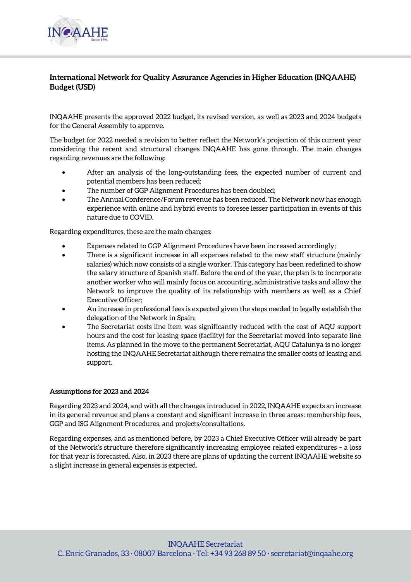

## **International Network for Quality Assurance Agencies in Higher Education (INQAAHE) Budget (USD)**

INQAAHE presents the approved 2022 budget, its revised version, as well as 2023 and 2024 budgets for the General Assembly to approve.

The budget for 2022 needed a revision to better reflect the Network's projection of this current year considering the recent and structural changes INQAAHE has gone through. The main changes regarding revenues are the following:

- After an analysis of the long-outstanding fees, the expected number of current and potential members has been reduced;
- The number of GGP Alignment Procedures has been doubled;
- The Annual Conference/Forum revenue has been reduced. The Network now has enough experience with online and hybrid events to foresee lesser participation in events of this nature due to COVID.

Regarding expenditures, these are the main changes:

- Expenses related to GGP Alignment Procedures have been increased accordingly;
- There is a significant increase in all expenses related to the new staff structure (mainly salaries) which now consists of a single worker. This category has been redefined to show the salary structure of Spanish staff. Before the end of the year, the plan is to incorporate another worker who will mainly focus on accounting, administrative tasks and allow the Network to improve the quality of its relationship with members as well as a Chief Executive Officer;
- An increase in professional fees is expected given the steps needed to legally establish the delegation of the Network in Spain;
- The Secretariat costs line item was significantly reduced with the cost of AQU support hours and the cost for leasing space (facility) for the Secretariat moved into separate line items. As planned in the move to the permanent Secretariat, AQU Catalunya is no longer hosting the INQAAHE Secretariat although there remains the smaller costs of leasing and support.

## **Assumptions for 2023 and 2024**

Regarding 2023 and 2024, and with all the changes introduced in 2022, INQAAHE expects an increase in its general revenue and plans a constant and significant increase in three areas: membership fees, GGP and ISG Alignment Procedures, and projects/consultations.

Regarding expenses, and as mentioned before, by 2023 a Chief Executive Officer will already be part of the Network's structure therefore significantly increasing employee related expenditures – a loss for that year is forecasted. Also, in 2023 there are plans of updating the current INQAAHE website so a slight increase in general expenses is expected.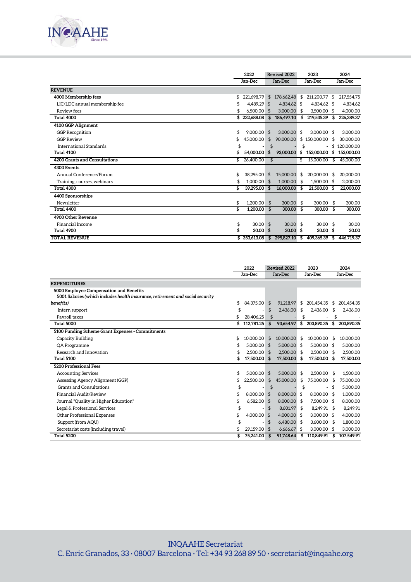

|                               |    | 2022<br>Jan-Dec |    | Revised 2022<br>Jan-Dec |      | 2023          |    | 2024       |
|-------------------------------|----|-----------------|----|-------------------------|------|---------------|----|------------|
|                               |    |                 |    |                         |      | Jan-Dec       |    | Jan-Dec    |
| <b>REVENUE</b>                |    |                 |    |                         |      |               |    |            |
| 4000 Membership fees          | \$ | 221.698.79      | \$ | 178,662.48              | \$   | 211,200.77    | \$ | 217,554.75 |
| LIC/LDC annual membership fee | S  | 4.489.29 \$     |    | 4.834.62 \$             |      | 4.834.62 \$   |    | 4.834.62   |
| Review fees                   | \$ | $6.500.00$ \$   |    | 3,000,00                | - \$ | 3.500.00 \$   |    | 4.000.00   |
| Total 4000                    |    | \$232,688.08    | \$ | 186,497.10              | \$   | 219,535.39 \$ |    | 226,389.37 |
| 4100 GGP Alignment            |    |                 |    |                         |      |               |    |            |
| <b>GGP</b> Recognition        | \$ | $9,000.00$ \$   |    | 3,000.00                | -\$  | $3.000.00$ \$ |    | 3.000.00   |
| <b>GGP Review</b>             | \$ | 45,000.00       | \$ | 90,000.00               |      | \$150,000.00  | \$ | 30,000.00  |
| International Standards       | \$ |                 | \$ |                         | \$   |               | \$ | 120,000.00 |
| Total 4100                    | \$ | 54,000.00       | \$ | 93,000.00               | \$   | 153,000.00    | \$ | 153,000.00 |
| 4200 Grants and Consultations | \$ | 26,400.00       | \$ |                         | \$   | 15,000.00     | S  | 45,000.00  |
| 4300 Events                   |    |                 |    |                         |      |               |    |            |
| Annual Conference/Forum       | \$ | 38,295.00       | \$ | 15,000.00               | \$   | 20,000.00     | \$ | 20.000.00  |
| Training, courses, webinars   | \$ | 1.000.00        | \$ | $1,000.00$ \$           |      | 1.500.00 \$   |    | 2.000.00   |
| <b>Total 4300</b>             | \$ | 39.295.00 \$    |    | 16.000.00               | - \$ | 21.500.00     | \$ | 22,000.00  |
| 4400 Sponsorships             |    |                 |    |                         |      |               |    |            |
| Newsletter                    | \$ | 1.200.00        | \$ | 300.00                  | - \$ | 300.00        | \$ | 300.00     |
| <b>Total 4400</b>             | \$ | 1.200.00        | \$ | 300.00                  | - \$ | 300.00        | \$ | 300.00     |
| 4900 Other Revenue            |    |                 |    |                         |      |               |    |            |
| Financial Income              | \$ | 30.00           | \$ | $30.00$ \$              |      | 30.00         | \$ | 30.00      |
| Total 4900                    | \$ | 30.00           | \$ | $30.00 \text{ }$ \$     |      | 30.00         | \$ | 30.00      |
| <b>TOTAL REVENUE</b>          |    | \$353,613.08    | \$ | 295,827.10              | \$   | 409.365.39    | \$ | 446,719.37 |

|                                                                                                                           | 2022                | Revised 2022 |               | 2023 |               |    | 2024       |  |
|---------------------------------------------------------------------------------------------------------------------------|---------------------|--------------|---------------|------|---------------|----|------------|--|
|                                                                                                                           | Jan-Dec             | Jan-Dec      |               |      | Jan-Dec       |    | Jan-Dec    |  |
| <b>EXPENDITURES</b>                                                                                                       |                     |              |               |      |               |    |            |  |
| 5000 Employee Compensation and Benefits<br>5001 Salaries (which includes health insurance, retirement and social security |                     |              |               |      |               |    |            |  |
| benefits)                                                                                                                 | \$<br>84.375.00     | \$           | 91.218.97     | \$   | 201,454.35    | \$ | 201,454.35 |  |
| Intern support                                                                                                            | \$                  | \$           | 2.436.00      | \$   | 2,436.00      | \$ | 2.436.00   |  |
| Payroll taxes                                                                                                             | \$<br>28,406.25     | \$           |               | \$   |               | \$ |            |  |
| <b>Total 5000</b>                                                                                                         | \$<br>112,781.25    | \$           | 93,654.97     | \$   | 203,890.35    | \$ | 203,890.35 |  |
| 5100 Funding Scheme Grant Expenses - Commitments                                                                          |                     |              |               |      |               |    |            |  |
| Capacity Building                                                                                                         | \$<br>10.000.00     | \$           | 10,000.00     | \$   | 10.000.00     | \$ | 10.000.00  |  |
| QA Programme                                                                                                              | \$<br>5.000.00      | \$           | $5.000.00$ \$ |      | 5.000.00 \$   |    | 5.000.00   |  |
| Research and Innovation                                                                                                   | \$<br>$2.500.00$ \$ |              | 2.500.00 \$   |      | 2.500.00 \$   |    | 2.500.00   |  |
| Total 5100                                                                                                                | \$<br>17.500.00     | \$           | 17,500.00 \$  |      | 17,500.00     | \$ | 17,500.00  |  |
| 5200 Professional Fees                                                                                                    |                     |              |               |      |               |    |            |  |
| <b>Accounting Services</b>                                                                                                | \$<br>5.000.00      | \$           | 5.000.00 \$   |      | 2.500.00      | \$ | 1.500.00   |  |
| Assessing Agency Alignment (GGP)                                                                                          | \$<br>22,500.00     | \$           | 45,000.00     | \$   | 75,000.00     | S  | 75,000.00  |  |
| Grants and Consultations                                                                                                  | \$                  | \$           |               | \$   |               | \$ | 5.000.00   |  |
| Financial Audit/Review                                                                                                    | \$<br>8.000.00      | \$           | 8.000.00 \$   |      | 8.000.00 \$   |    | 1.000.00   |  |
| Journal "Quality in Higher Education"                                                                                     | 6.582.00            | \$           | 8.000.00 \$   |      | 7.500.00 \$   |    | 8.000.00   |  |
| Legal & Professional Services                                                                                             |                     | \$           | 8.601.97 \$   |      | 8.249.91 \$   |    | 8.249.91   |  |
| Other Professional Expenses                                                                                               | \$<br>4.000.00      | \$           | $4,000,00$ \$ |      | $3.000.00$ \$ |    | 4.000.00   |  |
| Support (from AQU)                                                                                                        |                     | \$           | 6,480,00 \$   |      | $3,600.00$ \$ |    | 1.800.00   |  |
| Secretariat costs (including travel)                                                                                      | 29,159.00           | \$           | $6.66667$ \$  |      | 3.000.00 \$   |    | 3.000.00   |  |
| Total 5200                                                                                                                | \$<br>75,241.00     | -\$          | 91.748.64     | -\$  | 110.849.91    | S  | 107.549.91 |  |